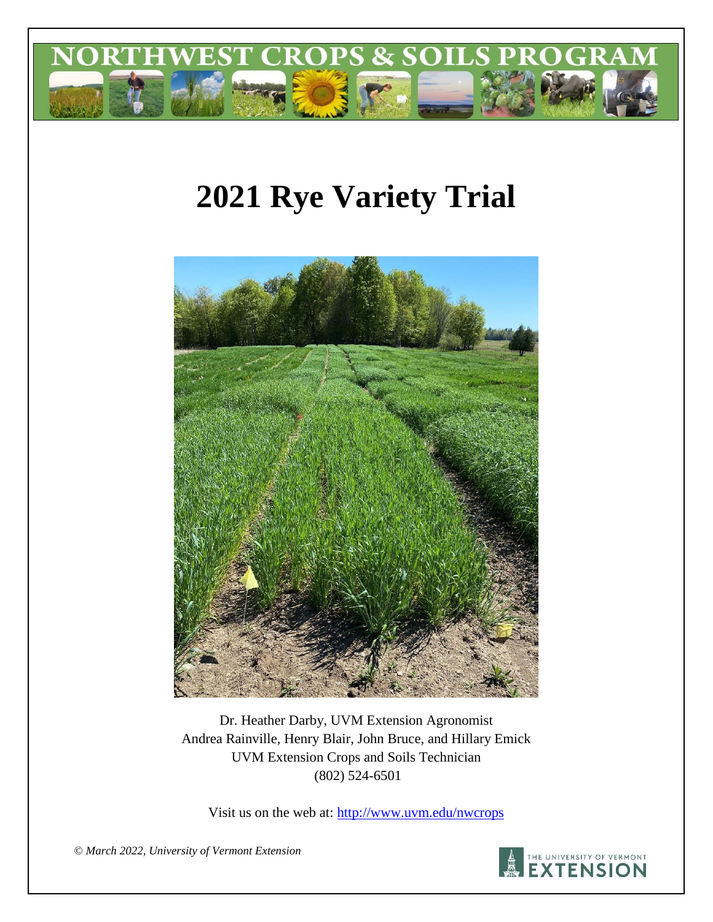

# **2021 Rye Variety Trial**



Dr. Heather Darby, UVM Extension Agronomist Andrea Rainville, Henry Blair, John Bruce, and Hillary Emick UVM Extension Crops and Soils Technician (802) 524-6501

Visit us on the web at:<http://www.uvm.edu/nwcrops>



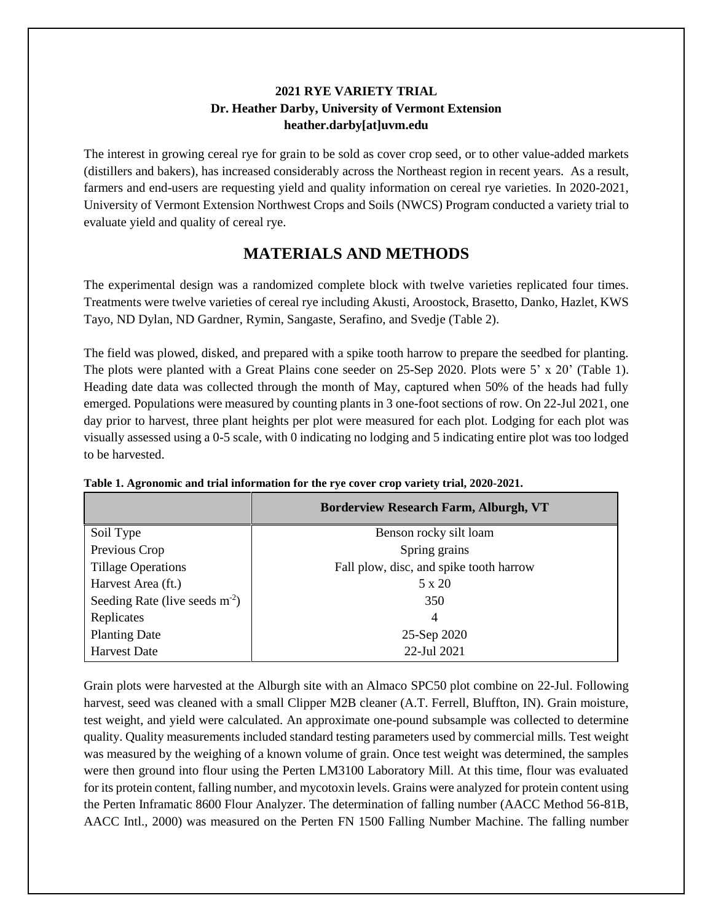#### **2021 RYE VARIETY TRIAL Dr. Heather Darby, University of Vermont Extension heather.darby[at]uvm.edu**

The interest in growing cereal rye for grain to be sold as cover crop seed, or to other value-added markets (distillers and bakers), has increased considerably across the Northeast region in recent years. As a result, farmers and end-users are requesting yield and quality information on cereal rye varieties. In 2020-2021, University of Vermont Extension Northwest Crops and Soils (NWCS) Program conducted a variety trial to evaluate yield and quality of cereal rye.

## **MATERIALS AND METHODS**

The experimental design was a randomized complete block with twelve varieties replicated four times. Treatments were twelve varieties of cereal rye including Akusti, Aroostock, Brasetto, Danko, Hazlet, KWS Tayo, ND Dylan, ND Gardner, Rymin, Sangaste, Serafino, and Svedje (Table 2).

The field was plowed, disked, and prepared with a spike tooth harrow to prepare the seedbed for planting. The plots were planted with a Great Plains cone seeder on 25-Sep 2020. Plots were 5' x 20' (Table 1). Heading date data was collected through the month of May, captured when 50% of the heads had fully emerged. Populations were measured by counting plants in 3 one-foot sections of row. On 22-Jul 2021, one day prior to harvest, three plant heights per plot were measured for each plot. Lodging for each plot was visually assessed using a 0-5 scale, with 0 indicating no lodging and 5 indicating entire plot was too lodged to be harvested.

|                                 | <b>Borderview Research Farm, Alburgh, VT</b> |  |  |  |  |  |
|---------------------------------|----------------------------------------------|--|--|--|--|--|
| Soil Type                       | Benson rocky silt loam                       |  |  |  |  |  |
| Previous Crop                   | Spring grains                                |  |  |  |  |  |
| <b>Tillage Operations</b>       | Fall plow, disc, and spike tooth harrow      |  |  |  |  |  |
| Harvest Area (ft.)              | $5 \times 20$                                |  |  |  |  |  |
| Seeding Rate (live seeds $m2$ ) | 350                                          |  |  |  |  |  |
| Replicates                      | 4                                            |  |  |  |  |  |
| <b>Planting Date</b>            | 25-Sep 2020                                  |  |  |  |  |  |
| <b>Harvest Date</b>             | 22-Jul 2021                                  |  |  |  |  |  |

**Table 1. Agronomic and trial information for the rye cover crop variety trial, 2020-2021.**

Grain plots were harvested at the Alburgh site with an Almaco SPC50 plot combine on 22-Jul. Following harvest, seed was cleaned with a small Clipper M2B cleaner (A.T. Ferrell, Bluffton, IN). Grain moisture, test weight, and yield were calculated. An approximate one-pound subsample was collected to determine quality. Quality measurements included standard testing parameters used by commercial mills. Test weight was measured by the weighing of a known volume of grain. Once test weight was determined, the samples were then ground into flour using the Perten LM3100 Laboratory Mill. At this time, flour was evaluated for its protein content, falling number, and mycotoxin levels. Grains were analyzed for protein content using the Perten Inframatic 8600 Flour Analyzer. The determination of falling number (AACC Method 56-81B, AACC Intl., 2000) was measured on the Perten FN 1500 Falling Number Machine. The falling number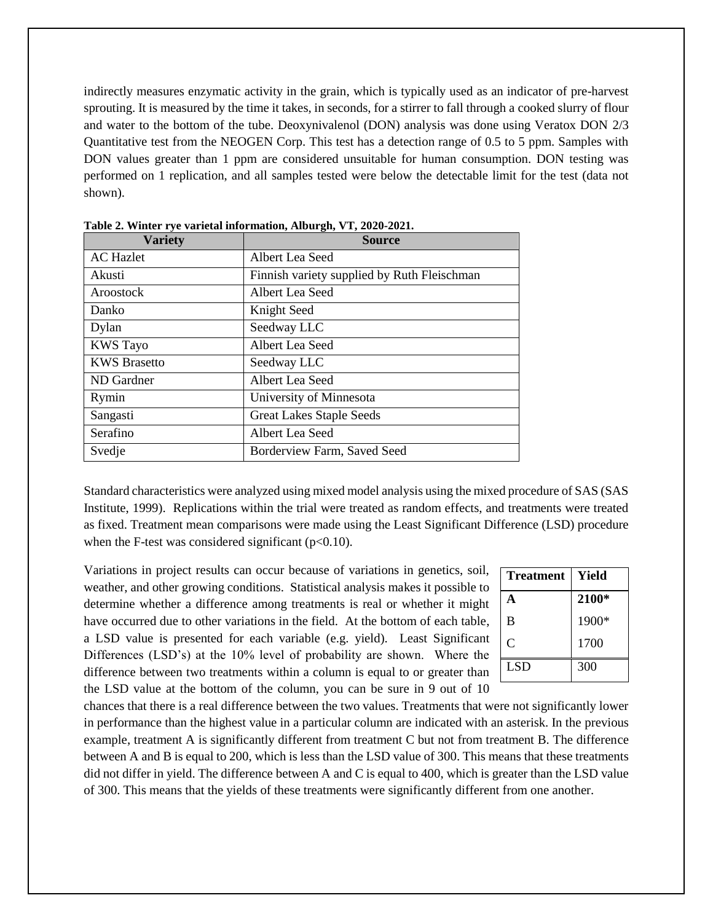indirectly measures enzymatic activity in the grain, which is typically used as an indicator of pre-harvest sprouting. It is measured by the time it takes, in seconds, for a stirrer to fall through a cooked slurry of flour and water to the bottom of the tube. Deoxynivalenol (DON) analysis was done using Veratox DON 2/3 Quantitative test from the NEOGEN Corp. This test has a detection range of 0.5 to 5 ppm. Samples with DON values greater than 1 ppm are considered unsuitable for human consumption. DON testing was performed on 1 replication, and all samples tested were below the detectable limit for the test (data not shown).

| <b>Variety</b>      | <b>Source</b>                               |  |  |  |  |
|---------------------|---------------------------------------------|--|--|--|--|
| <b>AC</b> Hazlet    | Albert Lea Seed                             |  |  |  |  |
| Akusti              | Finnish variety supplied by Ruth Fleischman |  |  |  |  |
| Aroostock           | Albert Lea Seed                             |  |  |  |  |
| Danko               | Knight Seed                                 |  |  |  |  |
| Dylan               | Seedway LLC                                 |  |  |  |  |
| <b>KWS</b> Tayo     | Albert Lea Seed                             |  |  |  |  |
| <b>KWS Brasetto</b> | Seedway LLC                                 |  |  |  |  |
| ND Gardner          | Albert Lea Seed                             |  |  |  |  |
| Rymin               | University of Minnesota                     |  |  |  |  |
| Sangasti            | <b>Great Lakes Staple Seeds</b>             |  |  |  |  |
| Serafino            | Albert Lea Seed                             |  |  |  |  |
| Svedje              | Borderview Farm, Saved Seed                 |  |  |  |  |

**Table 2. Winter rye varietal information, Alburgh, VT, 2020-2021.**

Standard characteristics were analyzed using mixed model analysis using the mixed procedure of SAS (SAS Institute, 1999). Replications within the trial were treated as random effects, and treatments were treated as fixed. Treatment mean comparisons were made using the Least Significant Difference (LSD) procedure when the F-test was considered significant ( $p<0.10$ ).

Variations in project results can occur because of variations in genetics, soil, weather, and other growing conditions. Statistical analysis makes it possible to determine whether a difference among treatments is real or whether it might have occurred due to other variations in the field. At the bottom of each table, a LSD value is presented for each variable (e.g. yield). Least Significant Differences (LSD's) at the 10% level of probability are shown. Where the difference between two treatments within a column is equal to or greater than the LSD value at the bottom of the column, you can be sure in 9 out of 10

| <b>Treatment</b> | Yield |
|------------------|-------|
| A                | 2100* |
| B                | 1900* |
| C                | 1700  |
| <b>LSD</b>       | 300   |

chances that there is a real difference between the two values. Treatments that were not significantly lower in performance than the highest value in a particular column are indicated with an asterisk. In the previous example, treatment A is significantly different from treatment C but not from treatment B. The difference between A and B is equal to 200, which is less than the LSD value of 300. This means that these treatments did not differ in yield. The difference between A and C is equal to 400, which is greater than the LSD value of 300. This means that the yields of these treatments were significantly different from one another.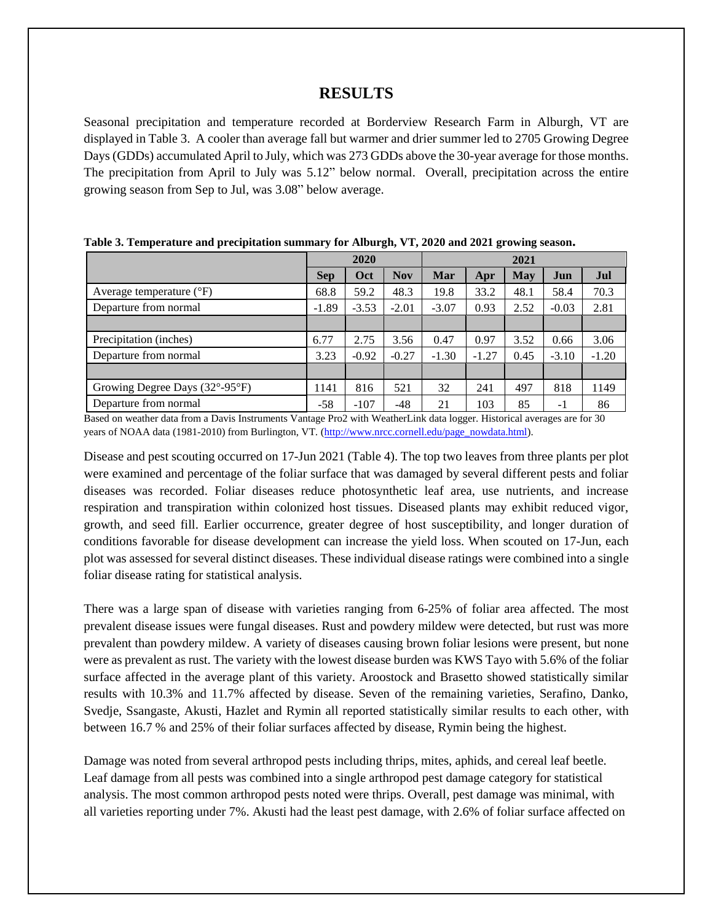#### **RESULTS**

Seasonal precipitation and temperature recorded at Borderview Research Farm in Alburgh, VT are displayed in Table 3. A cooler than average fall but warmer and drier summer led to 2705 Growing Degree Days (GDDs) accumulated April to July, which was 273 GDDs above the 30-year average for those months. The precipitation from April to July was 5.12" below normal. Overall, precipitation across the entire growing season from Sep to Jul, was 3.08" below average.

|                                          | 2020       |         |            | 2021    |         |      |         |         |
|------------------------------------------|------------|---------|------------|---------|---------|------|---------|---------|
|                                          | <b>Sep</b> | Oct     | <b>Nov</b> | Mar     | Apr     | May  | Jun     | Jul     |
| Average temperature $(^{\circ}F)$        | 68.8       | 59.2    | 48.3       | 19.8    | 33.2    | 48.1 | 58.4    | 70.3    |
| Departure from normal                    | $-1.89$    | $-3.53$ | $-2.01$    | $-3.07$ | 0.93    | 2.52 | $-0.03$ | 2.81    |
|                                          |            |         |            |         |         |      |         |         |
| Precipitation (inches)                   | 6.77       | 2.75    | 3.56       | 0.47    | 0.97    | 3.52 | 0.66    | 3.06    |
| Departure from normal                    | 3.23       | $-0.92$ | $-0.27$    | $-1.30$ | $-1.27$ | 0.45 | $-3.10$ | $-1.20$ |
|                                          |            |         |            |         |         |      |         |         |
| Growing Degree Days $(32^{\circ}$ -95°F) | 1141       | 816     | 521        | 32      | 241     | 497  | 818     | 1149    |
| Departure from normal                    | -58        | $-107$  | $-48$      | 21      | 103     | 85   | $-1$    | 86      |

**Table 3. Temperature and precipitation summary for Alburgh, VT, 2020 and 2021 growing season.**

Based on weather data from a Davis Instruments Vantage Pro2 with WeatherLink data logger. Historical averages are for 30 years of NOAA data (1981-2010) from Burlington, VT. [\(http://www.nrcc.cornell.edu/page\\_nowdata.html\)](http://www.nrcc.cornell.edu/page_nowdata.html).

Disease and pest scouting occurred on 17-Jun 2021 (Table 4). The top two leaves from three plants per plot were examined and percentage of the foliar surface that was damaged by several different pests and foliar diseases was recorded. Foliar diseases reduce photosynthetic leaf area, use nutrients, and increase respiration and transpiration within colonized host tissues. Diseased plants may exhibit reduced vigor, growth, and seed fill. Earlier occurrence, greater degree of host susceptibility, and longer duration of conditions favorable for disease development can increase the yield loss. When scouted on 17-Jun, each plot was assessed for several distinct diseases. These individual disease ratings were combined into a single foliar disease rating for statistical analysis.

There was a large span of disease with varieties ranging from 6-25% of foliar area affected. The most prevalent disease issues were fungal diseases. Rust and powdery mildew were detected, but rust was more prevalent than powdery mildew. A variety of diseases causing brown foliar lesions were present, but none were as prevalent as rust. The variety with the lowest disease burden was KWS Tayo with 5.6% of the foliar surface affected in the average plant of this variety. Aroostock and Brasetto showed statistically similar results with 10.3% and 11.7% affected by disease. Seven of the remaining varieties, Serafino, Danko, Svedje, Ssangaste, Akusti, Hazlet and Rymin all reported statistically similar results to each other, with between 16.7 % and 25% of their foliar surfaces affected by disease, Rymin being the highest.

Damage was noted from several arthropod pests including thrips, mites, aphids, and cereal leaf beetle. Leaf damage from all pests was combined into a single arthropod pest damage category for statistical analysis. The most common arthropod pests noted were thrips. Overall, pest damage was minimal, with all varieties reporting under 7%. Akusti had the least pest damage, with 2.6% of foliar surface affected on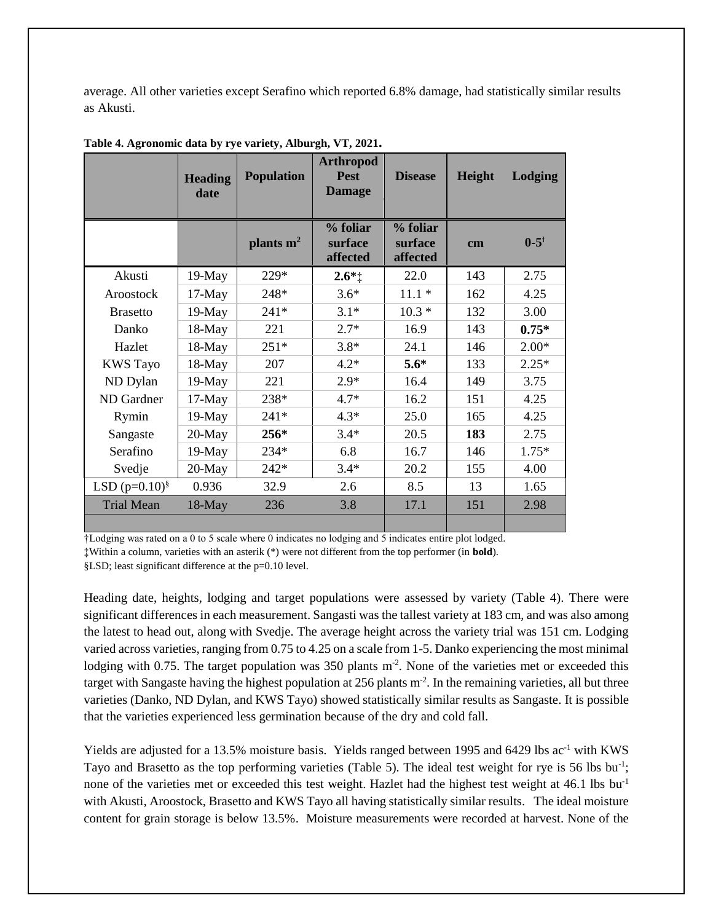average. All other varieties except Serafino which reported 6.8% damage, had statistically similar results as Akusti.

|                    | <b>Heading</b><br>date | <b>Population</b> | <b>Arthropod</b><br><b>Pest</b><br><b>Damage</b> | <b>Disease</b>                  | Height | Lodging           |
|--------------------|------------------------|-------------------|--------------------------------------------------|---------------------------------|--------|-------------------|
|                    |                        | plants $m2$       | % foliar<br>surface<br>affected                  | % foliar<br>surface<br>affected | cm     | $0 - 5^{\dagger}$ |
| Akusti             | $19-May$               | 229*              | $2.6*$                                           | 22.0                            | 143    | 2.75              |
| Aroostock          | $17-May$               | 248*              | $3.6*$                                           | $11.1*$                         | 162    | 4.25              |
| <b>Brasetto</b>    | $19-May$               | $241*$            | $3.1*$                                           | $10.3*$                         | 132    | 3.00              |
| Danko              | 18-May                 | 221               | $2.7*$                                           | 16.9                            | 143    | $0.75*$           |
| Hazlet             | $18-May$               | $251*$            | $3.8*$                                           | 24.1                            | 146    | $2.00*$           |
| <b>KWS</b> Tayo    | 18-May                 | 207               | $4.2*$                                           | $5.6*$                          | 133    | $2.25*$           |
| ND Dylan           | $19-May$               | 221               | $2.9*$                                           | 16.4                            | 149    | 3.75              |
| ND Gardner         | $17-May$               | 238*              | $4.7*$                                           | 16.2                            | 151    | 4.25              |
| Rymin              | $19-May$               | $241*$            | $4.3*$                                           | 25.0                            | 165    | 4.25              |
| Sangaste           | $20$ -May              | $256*$            | $3.4*$                                           | 20.5                            | 183    | 2.75              |
| Serafino           | $19-May$               | 234*              | 6.8                                              | 16.7                            | 146    | $1.75*$           |
| Svedje             | $20$ -May              | $242*$            | $3.4*$                                           | 20.2                            | 155    | 4.00              |
| LSD $(p=0.10)^{8}$ | 0.936                  | 32.9              | 2.6                                              | 8.5                             | 13     | 1.65              |
| <b>Trial Mean</b>  | 18-May                 | 236               | 3.8                                              | 17.1                            | 151    | 2.98              |
|                    |                        |                   |                                                  |                                 |        |                   |

**Table 4. Agronomic data by rye variety, Alburgh, VT, 2021.**

†Lodging was rated on a 0 to 5 scale where 0 indicates no lodging and 5 indicates entire plot lodged.

‡Within a column, varieties with an asterik (\*) were not different from the top performer (in **bold**).

§LSD; least significant difference at the p=0.10 level.

Heading date, heights, lodging and target populations were assessed by variety (Table 4). There were significant differences in each measurement. Sangasti was the tallest variety at 183 cm, and was also among the latest to head out, along with Svedje. The average height across the variety trial was 151 cm. Lodging varied across varieties, ranging from 0.75 to 4.25 on a scale from 1-5. Danko experiencing the most minimal lodging with 0.75. The target population was  $350$  plants  $m<sup>2</sup>$ . None of the varieties met or exceeded this target with Sangaste having the highest population at 256 plants  $m<sup>2</sup>$ . In the remaining varieties, all but three varieties (Danko, ND Dylan, and KWS Tayo) showed statistically similar results as Sangaste. It is possible that the varieties experienced less germination because of the dry and cold fall.

Yields are adjusted for a 13.5% moisture basis. Yields ranged between 1995 and 6429 lbs ac<sup>-1</sup> with KWS Tayo and Brasetto as the top performing varieties (Table 5). The ideal test weight for rye is 56 lbs bu<sup>-1</sup>; none of the varieties met or exceeded this test weight. Hazlet had the highest test weight at 46.1 lbs bu<sup>-1</sup> with Akusti, Aroostock, Brasetto and KWS Tayo all having statistically similar results. The ideal moisture content for grain storage is below 13.5%. Moisture measurements were recorded at harvest. None of the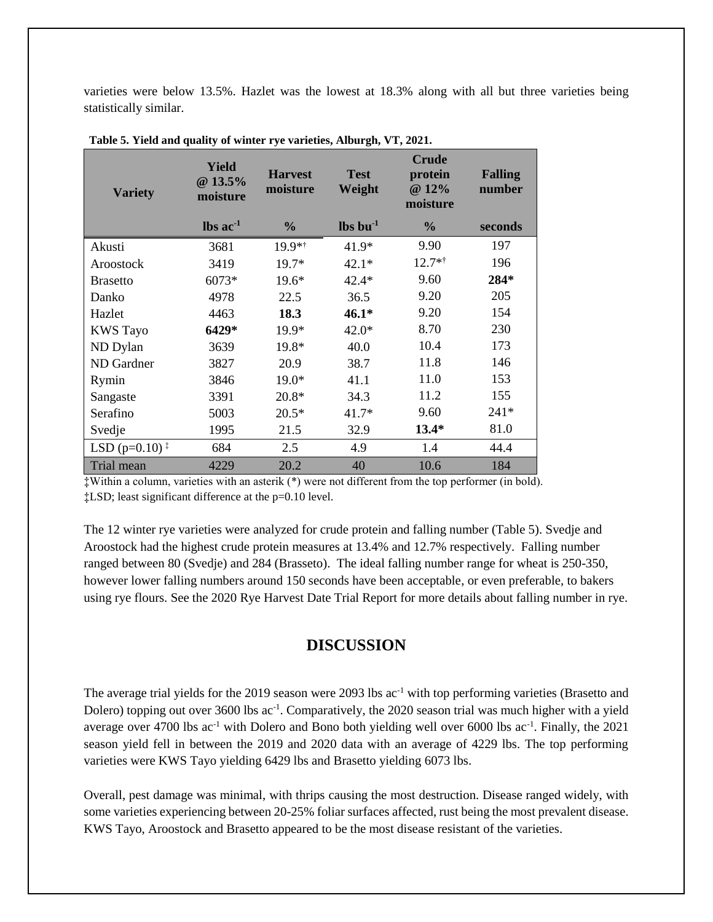varieties were below 13.5%. Hazlet was the lowest at 18.3% along with all but three varieties being statistically similar.

| <b>Variety</b>                                    | Yield<br>$@13.5\%$<br>moisture | <b>Harvest</b><br>moisture | <b>Test</b><br>Weight          | <b>Crude</b><br>protein<br>@ 12%<br>moisture | <b>Falling</b><br>number |
|---------------------------------------------------|--------------------------------|----------------------------|--------------------------------|----------------------------------------------|--------------------------|
|                                                   | $\text{lbs}$ ac <sup>-1</sup>  | $\frac{0}{0}$              | $\mathbf{lbs}\mathbf{bu}^{-1}$ | $\frac{6}{9}$                                | seconds                  |
| Akusti                                            | 3681                           | 19.9**                     | $41.9*$                        | 9.90                                         | 197                      |
| Aroostock                                         | 3419                           | $19.7*$                    | $42.1*$                        | $12.7**$                                     | 196                      |
| <b>Brasetto</b>                                   | 6073*                          | 19.6*                      | $42.4*$                        | 9.60                                         | 284*                     |
| Danko                                             | 4978                           | 22.5                       | 36.5                           | 9.20                                         | 205                      |
| Hazlet                                            | 4463                           | 18.3                       | $46.1*$                        | 9.20                                         | 154                      |
| <b>KWS</b> Tayo                                   | 6429*                          | 19.9*                      | $42.0*$                        | 8.70                                         | 230                      |
| ND Dylan                                          | 3639                           | 19.8*                      | 40.0                           | 10.4                                         | 173                      |
| ND Gardner                                        | 3827                           | 20.9                       | 38.7                           | 11.8                                         | 146                      |
| Rymin                                             | 3846                           | $19.0*$                    | 41.1                           | 11.0                                         | 153                      |
| Sangaste                                          | 3391                           | $20.8*$                    | 34.3                           | 11.2                                         | 155                      |
| Serafino                                          | 5003                           | $20.5*$                    | $41.7*$                        | 9.60                                         | $241*$                   |
| Svedje                                            | 1995                           | 21.5                       | 32.9                           | $13.4*$                                      | 81.0                     |
| LSD ( $p=0.10$ ) <sup><math>\ddagger</math></sup> | 684                            | 2.5                        | 4.9                            | 1.4                                          | 44.4                     |
| Trial mean                                        | 4229                           | 20.2                       | 40                             | 10.6                                         | 184                      |

**Table 5. Yield and quality of winter rye varieties, Alburgh, VT, 2021.**

‡Within a column, varieties with an asterik (\*) were not different from the top performer (in bold). ‡LSD; least significant difference at the p=0.10 level.

The 12 winter rye varieties were analyzed for crude protein and falling number (Table 5). Svedje and Aroostock had the highest crude protein measures at 13.4% and 12.7% respectively. Falling number ranged between 80 (Svedje) and 284 (Brasseto). The ideal falling number range for wheat is 250-350, however lower falling numbers around 150 seconds have been acceptable, or even preferable, to bakers using rye flours. See the 2020 Rye Harvest Date Trial Report for more details about falling number in rye.

#### **DISCUSSION**

The average trial yields for the 2019 season were 2093 lbs  $ac^{-1}$  with top performing varieties (Brasetto and Dolero) topping out over 3600 lbs ac<sup>-1</sup>. Comparatively, the 2020 season trial was much higher with a yield average over 4700 lbs ac<sup>-1</sup> with Dolero and Bono both yielding well over 6000 lbs ac<sup>-1</sup>. Finally, the 2021 season yield fell in between the 2019 and 2020 data with an average of 4229 lbs. The top performing varieties were KWS Tayo yielding 6429 lbs and Brasetto yielding 6073 lbs.

Overall, pest damage was minimal, with thrips causing the most destruction. Disease ranged widely, with some varieties experiencing between 20-25% foliar surfaces affected, rust being the most prevalent disease. KWS Tayo, Aroostock and Brasetto appeared to be the most disease resistant of the varieties.